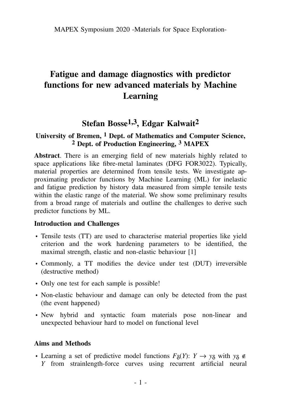# **Fatigue and damage diagnostics with predictor functions for new advanced materials by Machine Learning**

## **Stefan Bosse1,3, Edgar Kalwait2**

#### **University of Bremen, 1 Dept. of Mathematics and Computer Science, 2 Dept. of Production Engineering, 3 MAPEX**

**Abstract**. There is an emerging field of new materials highly related to space applications like fibre-metal laminates (DFG FOR3022). Typically, material properties are determined from tensile tests. We investigate approximating predictor functions by Machine Learning (ML) for inelastic and fatigue prediction by history data measured from simple tensile tests within the elastic range of the material. We show some preliminary results from a broad range of materials and outline the challenges to derive such predictor functions by ML.

#### **Introduction and Challenges**

- Tensile tests (TT) are used to characterise material properties like yield criterion and the work hardening parameters to be identified, the maximal strength, elastic and non-elastic behaviour [1]
- Commonly, a TT modifies the device under test (DUT) irreversible (destructive method)
- Only one test for each sample is possible!
- Non-elastic behaviour and damage can only be detected from the past (the event happened)
- New hybrid and syntactic foam materials pose non-linear and unexpected behaviour hard to model on functional level

#### **Aims and Methods**

• Learning a set of predictive model functions  $F_{\delta}(Y)$ :  $Y \to y_{\delta}$  with  $y_{\delta} \notin Y$ *Y* from strainlength-force curves using recurrent artificial neural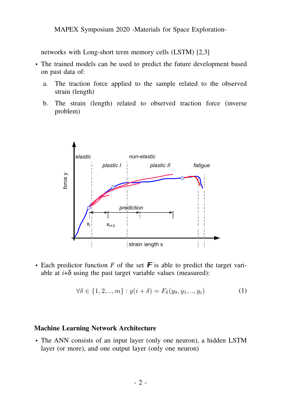networks with Long-short term memory cells (LSTM) [2,3]

- The trained models can be used to predict the future development based on past data of:
	- a. The traction force applied to the sample related to the observed strain (length)
	- b. The strain (length) related to observed traction force (inverse problem)



• Each predictor function  $F$  of the set  $\mathbf F$  is able to predict the target variable at  $i+\delta$  using the past target variable values (measured):

$$
\forall \delta \in \{1, 2, ..., m\} : y(i + \delta) = F_{\delta}(y_0, y_1, ..., y_i)
$$
 (1)

#### **Machine Learning Network Architecture**

• The ANN consists of an input layer (only one neuron), a hidden LSTM layer (or more), and one output layer (only one neuron)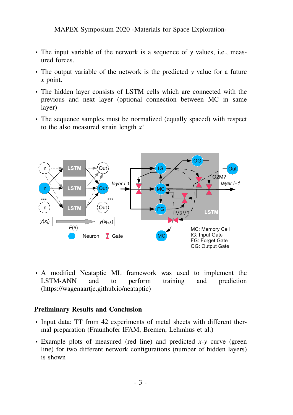MAPEX Symposium 2020 -Materials for Space Exploration-

- The input variable of the network is a sequence of *y* values, i.e., measured forces.
- The output variable of the network is the predicted *y* value for a future *x* point.
- The hidden layer consists of LSTM cells which are connected with the previous and next layer (optional connection between MC in same layer)
- The sequence samples must be normalized (equally spaced) with respect to the also measured strain length *x*!



• A modified Neataptic ML framework was used to implement the LSTM-ANN and to perform training and prediction (https://wagenaartje.github.io/neataptic)

#### **Preliminary Results and Conclusion**

- Input data: TT from 42 experiments of metal sheets with different thermal preparation (Fraunhofer IFAM, Bremen, Lehmhus et al.)
- Example plots of measured (red line) and predicted *x*-*y* curve (green line) for two different network configurations (number of hidden layers) is shown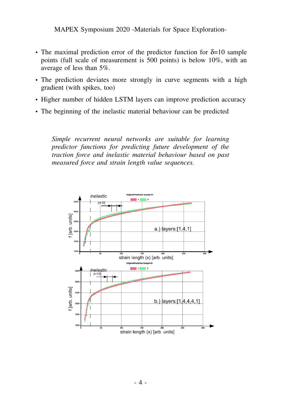- The maximal prediction error of the predictor function for  $\delta = 10$  sample points (full scale of measurement is 500 points) is below 10%, with an average of less than 5%.
- The prediction deviates more strongly in curve segments with a high gradient (with spikes, too)
- Higher number of hidden LSTM layers can improve prediction accuracy
- The beginning of the inelastic material behaviour can be predicted

*Simple recurrent neural networks are suitable for learning predictor functions for predicting future development of the traction force and inelastic material behaviour based on past measured force and strain length value sequences.*